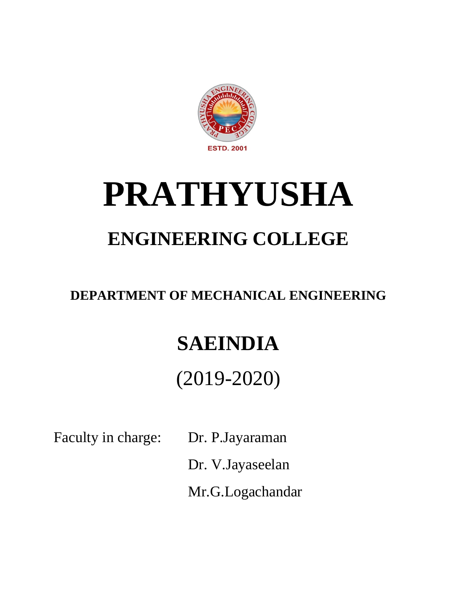

# **PRATHYUSHA**

### **ENGINEERING COLLEGE**

### **DEPARTMENT OF MECHANICAL ENGINEERING**

# **SAEINDIA**

## (2019-2020)

Faculty in charge: Dr. P.Jayaraman

Dr. V.Jayaseelan

Mr.G.Logachandar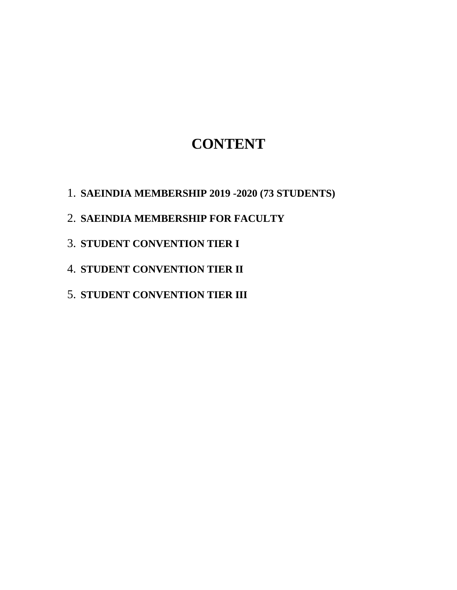### **CONTENT**

- 1. **SAEINDIA MEMBERSHIP 2019 -2020 (73 STUDENTS)**
- 2. **SAEINDIA MEMBERSHIP FOR FACULTY**
- 3. **STUDENT CONVENTION TIER I**
- 4. **STUDENT CONVENTION TIER II**
- 5. **STUDENT CONVENTION TIER III**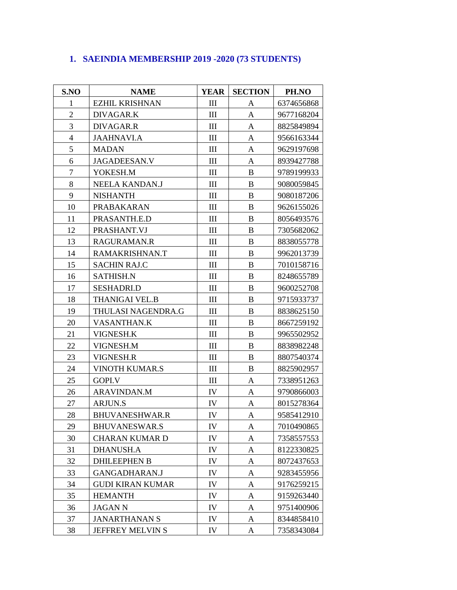#### **1. SAEINDIA MEMBERSHIP 2019 -2020 (73 STUDENTS)**

| S.NO           | <b>NAME</b>             | <b>YEAR</b>                 | <b>SECTION</b> | PH.NO      |
|----------------|-------------------------|-----------------------------|----------------|------------|
| 1              | <b>EZHIL KRISHNAN</b>   | $\mathop{\rm III}$          | A              | 6374656868 |
| $\overline{2}$ | DIVAGAR.K               | $\mathop{\rm III}$          | A              | 9677168204 |
| $\overline{3}$ | DIVAGAR.R               | $\mathbf{III}$              | A              | 8825849894 |
| $\overline{4}$ | <b>JAAHNAVI.A</b>       | $\mathbf{III}$              | A              | 9566163344 |
| 5              | <b>MADAN</b>            | $\mathop{\rm III}$          | A              | 9629197698 |
| 6              | JAGADEESAN.V            | $\mathop{\rm III}$          | A              | 8939427788 |
| $\overline{7}$ | YOKESH.M                | $\mathop{\rm III}$          | $\bf{B}$       | 9789199933 |
| 8              | NEELA KANDAN.J          | $\mathop{\rm III}$          | B              | 9080059845 |
| 9              | <b>NISHANTH</b>         | $\mathop{\rm III}$          | B              | 9080187206 |
| 10             | PRABAKARAN              | $\mathbf{III}$              | B              | 9626155026 |
| 11             | PRASANTH.E.D            | $\mathbf{III}$              | $\bf{B}$       | 8056493576 |
| 12             | PRASHANT.VJ             | $\mathop{\rm III}\nolimits$ | $\bf{B}$       | 7305682062 |
| 13             | RAGURAMAN.R             | $\mathop{\rm III}$          | $\bf{B}$       | 8838055778 |
| 14             | RAMAKRISHNAN.T          | $\mathop{\rm III}$          | $\bf{B}$       | 9962013739 |
| 15             | <b>SACHIN RAJ.C</b>     | $\mathbf{III}$              | B              | 7010158716 |
| 16             | <b>SATHISH.N</b>        | $\mathbf{III}$              | $\bf{B}$       | 8248655789 |
| 17             | <b>SESHADRI.D</b>       | $\mathop{\rm III}$          | B              | 9600252708 |
| 18             | <b>THANIGAI VEL.B</b>   | $\mathbf{III}$              | B              | 9715933737 |
| 19             | THULASI NAGENDRA.G      | $\mathbf{III}$              | B              | 8838625150 |
| 20             | <b>VASANTHAN.K</b>      | $\mathop{\rm III}$          | B              | 8667259192 |
| 21             | VIGNESH.K               | $\mathop{\rm III}$          | B              | 9965502952 |
| 22             | VIGNESH.M               | $\mathbf{III}$              | B              | 8838982248 |
| 23             | VIGNESH.R               | $\mathop{\rm III}$          | $\bf{B}$       | 8807540374 |
| 24             | <b>VINOTH KUMAR.S</b>   | $\mathop{\rm III}$          | $\bf{B}$       | 8825902957 |
| 25             | GOPI.V                  | $\mathop{\rm III}$          | A              | 7338951263 |
| 26             | <b>ARAVINDAN.M</b>      | IV                          | A              | 9790866003 |
| 27             | <b>ARJUN.S</b>          | IV                          | A              | 8015278364 |
| 28             | <b>BHUVANESHWAR.R</b>   | IV                          | A              | 9585412910 |
| 29             | <b>BHUVANESWAR.S</b>    | IV                          | A              | 7010490865 |
| 30             | <b>CHARAN KUMAR D</b>   | IV                          | A              | 7358557553 |
| 31             | <b>DHANUSH.A</b>        | IV                          | A              | 8122330825 |
| 32             | <b>DHILEEPHEN B</b>     | IV                          | A              | 8072437653 |
| 33             | GANGADHARAN.J           | IV                          | A              | 9283455956 |
| 34             | <b>GUDI KIRAN KUMAR</b> | IV                          | A              | 9176259215 |
| 35             | <b>HEMANTH</b>          | IV                          | A              | 9159263440 |
| 36             | <b>JAGANN</b>           | IV                          | A              | 9751400906 |
| 37             | <b>JANARTHANAN S</b>    | IV                          | A              | 8344858410 |
| 38             | JEFFREY MELVIN S        | IV                          | A              | 7358343084 |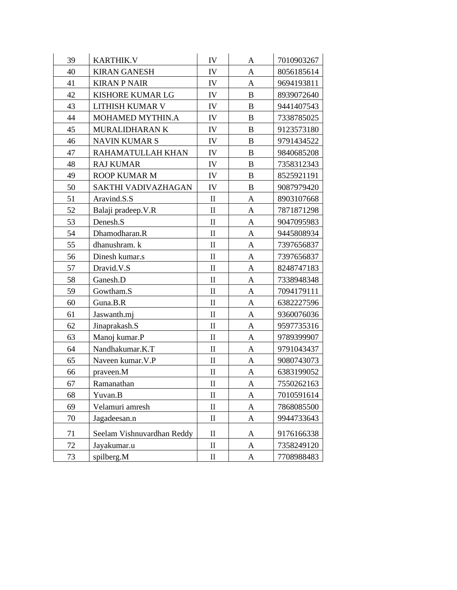| 39 | <b>KARTHIK.V</b>           | IV           | A            | 7010903267 |
|----|----------------------------|--------------|--------------|------------|
| 40 | <b>KIRAN GANESH</b>        | IV           | $\mathbf{A}$ | 8056185614 |
| 41 | <b>KIRAN P NAIR</b>        | IV           | A            | 9694193811 |
| 42 | KISHORE KUMAR LG           | IV           | B            | 8939072640 |
| 43 | LITHISH KUMAR V            | IV           | $\bf{B}$     | 9441407543 |
| 44 | MOHAMED MYTHIN.A           | IV           | $\bf{B}$     | 7338785025 |
| 45 | MURALIDHARAN K             | IV           | $\bf{B}$     | 9123573180 |
| 46 | <b>NAVIN KUMAR S</b>       | IV           | $\bf{B}$     | 9791434522 |
| 47 | RAHAMATULLAH KHAN          | IV           | B            | 9840685208 |
| 48 | <b>RAJ KUMAR</b>           | IV           | $\bf{B}$     | 7358312343 |
| 49 | <b>ROOP KUMAR M</b>        | IV           | B            | 8525921191 |
| 50 | SAKTHI VADIVAZHAGAN        | IV           | $\bf{B}$     | 9087979420 |
| 51 | Aravind.S.S                | $\mathbf{I}$ | A            | 8903107668 |
| 52 | Balaji pradeep. V.R        | $\mathbf{I}$ | $\mathbf{A}$ | 7871871298 |
| 53 | Denesh.S                   | $\mathbf{I}$ | A            | 9047095983 |
| 54 | Dhamodharan.R              | $\mathbf{I}$ | A            | 9445808934 |
| 55 | dhanushram. k              | $\mathbf{I}$ | A            | 7397656837 |
| 56 | Dinesh kumar.s             | $\mathbf{I}$ | A            | 7397656837 |
| 57 | Dravid.V.S                 | $\mathbf{I}$ | A            | 8248747183 |
| 58 | Ganesh.D                   | $\mathbf{I}$ | A            | 7338948348 |
| 59 | Gowtham.S                  | $\mathbf{I}$ | A            | 7094179111 |
| 60 | Guna.B.R                   | $\mathbf{I}$ | A            | 6382227596 |
| 61 | Jaswanth.mj                | $\mathbf{I}$ | $\mathbf{A}$ | 9360076036 |
| 62 | Jinaprakash.S              | $\rm II$     | A            | 9597735316 |
| 63 | Manoj kumar.P              | $\rm II$     | $\mathbf{A}$ | 9789399907 |
| 64 | Nandhakumar.K.T            | $\mathbf{I}$ | $\mathbf{A}$ | 9791043437 |
| 65 | Naveen kumar. V.P          | $\mathbf{I}$ | A            | 9080743073 |
| 66 | praveen.M                  | $\mathbf{I}$ | A            | 6383199052 |
| 67 | Ramanathan                 | $\mathbf{I}$ | A            | 7550262163 |
| 68 | Yuvan.B                    | $\rm II$     | A            | 7010591614 |
| 69 | Velamuri amresh            | $\mathbf{I}$ | A            | 7868085500 |
| 70 | Jagadeesan.n               | $\mathbf{I}$ | $\mathbf{A}$ | 9944733643 |
|    |                            |              |              |            |
| 71 | Seelam Vishnuvardhan Reddy | $\mathbf{I}$ | A            | 9176166338 |
| 72 | Jayakumar.u                | $\mathbf{I}$ | A            | 7358249120 |
| 73 | spilberg.M                 | $\mathbf{I}$ | A            | 7708988483 |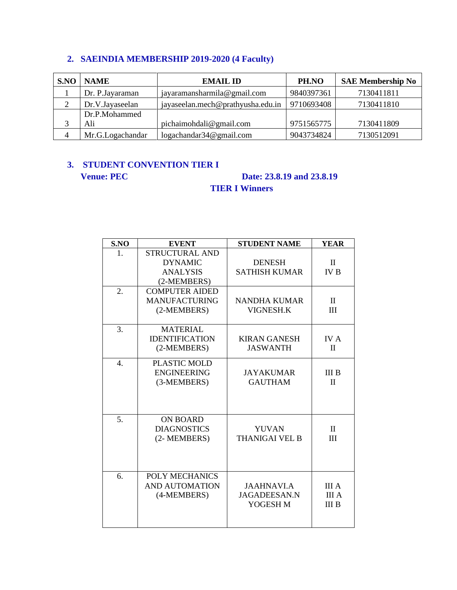#### **2. SAEINDIA MEMBERSHIP 2019-2020 (4 Faculty)**

| S.NO           | <b>NAME</b>      | <b>EMAIL ID</b>                   | PH.NO      | <b>SAE Membership No</b> |
|----------------|------------------|-----------------------------------|------------|--------------------------|
|                | Dr. P. Jayaraman | jayaramansharmila@gmail.com       | 9840397361 | 7130411811               |
|                | Dr.V.Jayaseelan  | jayaseelan.mech@prathyusha.edu.in | 9710693408 | 7130411810               |
|                | Dr.P.Mohammed    |                                   |            |                          |
|                | Ali              | pichaimohdali@gmail.com           | 9751565775 | 7130411809               |
| $\overline{4}$ | Mr.G.Logachandar | logachandar34@gmail.com           | 9043734824 | 7130512091               |

#### **3. STUDENT CONVENTION TIER I Venue: PEC** Date: 23.8.19 and 23.8.19

### **TIER I Winners**

| S.NO             | <b>EVENT</b>                                                              | <b>STUDENT NAME</b>                                  | <b>YEAR</b>                           |
|------------------|---------------------------------------------------------------------------|------------------------------------------------------|---------------------------------------|
| 1.               | <b>STRUCTURAL AND</b><br><b>DYNAMIC</b><br><b>ANALYSIS</b><br>(2-MEMBERS) | <b>DENESH</b><br><b>SATHISH KUMAR</b>                | $\mathbf{I}$<br><b>IV B</b>           |
| 2.               | <b>COMPUTER AIDED</b><br><b>MANUFACTURING</b><br>(2-MEMBERS)              | <b>NANDHA KUMAR</b><br><b>VIGNESH.K</b>              | $\mathbf{I}$<br>Ш                     |
| 3.               | <b>MATERIAL</b><br><b>IDENTIFICATION</b><br>(2-MEMBERS)                   | <b>KIRAN GANESH</b><br><b>JASWANTH</b>               | IV A<br>$\Pi$                         |
| $\overline{4}$ . | PLASTIC MOLD<br><b>ENGINEERING</b><br>(3-MEMBERS)                         | <b>JAYAKUMAR</b><br><b>GAUTHAM</b>                   | <b>III</b> B<br>$\mathbf{I}$          |
| 5.               | <b>ON BOARD</b><br><b>DIAGNOSTICS</b><br>(2- MEMBERS)                     | <b>YUVAN</b><br><b>THANIGAI VEL B</b>                | $\mathbf{I}$<br>III                   |
| 6.               | POLY MECHANICS<br><b>AND AUTOMATION</b><br>(4-MEMBERS)                    | <b>JAAHNAVI.A</b><br><b>JAGADEESAN.N</b><br>YOGESH M | III A<br><b>III</b> A<br><b>III</b> B |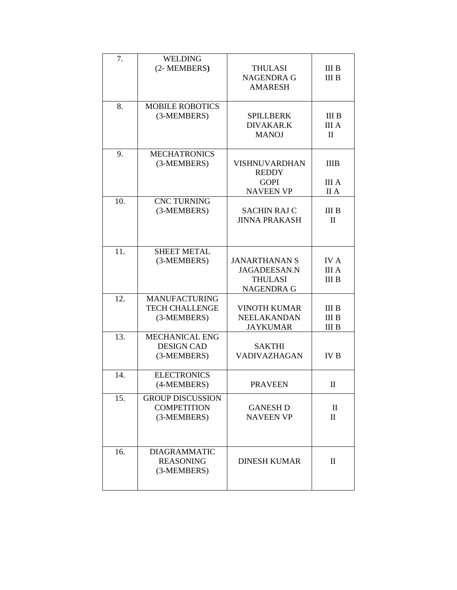| 7.  | <b>WELDING</b><br>(2- MEMBERS)                               | <b>THULASI</b><br><b>NAGENDRA G</b><br><b>AMARESH</b>                              | <b>III</b> B<br><b>III</b> B                 |
|-----|--------------------------------------------------------------|------------------------------------------------------------------------------------|----------------------------------------------|
| 8.  | <b>MOBILE ROBOTICS</b><br>(3-MEMBERS)                        | <b>SPILLBERK</b><br><b>DIVAKAR.K</b><br><b>MANOJ</b>                               | <b>III</b> B<br><b>III</b> A<br>$\mathbf{I}$ |
| 9.  | <b>MECHATRONICS</b><br>(3-MEMBERS)                           | <b>VISHNUVARDHAN</b><br><b>REDDY</b><br><b>GOPI</b><br><b>NAVEEN VP</b>            | <b>IIIB</b><br><b>III</b> A<br>II A          |
| 10. | <b>CNC TURNING</b><br>(3-MEMBERS)                            | <b>SACHIN RAJ C</b><br><b>JINNA PRAKASH</b>                                        | <b>III</b> B<br>$\mathbf{I}$                 |
| 11. | <b>SHEET METAL</b><br>(3-MEMBERS)                            | <b>JANARTHANAN S</b><br><b>JAGADEESAN.N</b><br><b>THULASI</b><br><b>NAGENDRA G</b> | <b>IVA</b><br><b>III</b> A<br><b>III</b> B   |
| 12. | <b>MANUFACTURING</b><br><b>TECH CHALLENGE</b><br>(3-MEMBERS) | <b>VINOTH KUMAR</b><br>NEELAKANDAN<br><b>JAYKUMAR</b>                              | <b>III</b> B<br><b>III</b> B<br><b>III</b> B |
| 13. | <b>MECHANICAL ENG</b><br><b>DESIGN CAD</b><br>(3-MEMBERS)    | <b>SAKTHI</b><br><b>VADIVAZHAGAN</b>                                               | <b>IVB</b>                                   |
| 14. | <b>ELECTRONICS</b><br>(4-MEMBERS)                            | <b>PRAVEEN</b>                                                                     | Π                                            |
| 15. | <b>GROUP DISCUSSION</b><br><b>COMPETITION</b><br>(3-MEMBERS) | <b>GANESH D</b><br><b>NAVEEN VP</b>                                                | $\mathbf{I}$<br>$\mathbf{I}$                 |
| 16. | <b>DIAGRAMMATIC</b><br><b>REASONING</b><br>(3-MEMBERS)       | <b>DINESH KUMAR</b>                                                                | $\mathbf H$                                  |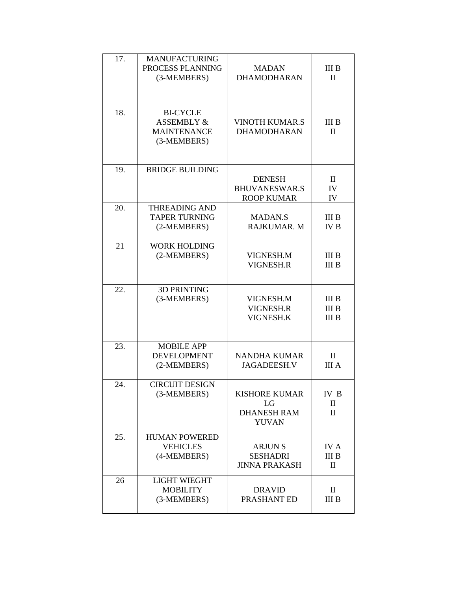| 17. | <b>MANUFACTURING</b><br>PROCESS PLANNING<br>(3-MEMBERS)                       | <b>MADAN</b><br><b>DHAMODHARAN</b>                               | <b>III B</b><br>$\mathbf{I}$                                  |
|-----|-------------------------------------------------------------------------------|------------------------------------------------------------------|---------------------------------------------------------------|
| 18. | <b>BI-CYCLE</b><br><b>ASSEMBLY &amp;</b><br><b>MAINTENANCE</b><br>(3-MEMBERS) | <b>VINOTH KUMAR.S</b><br><b>DHAMODHARAN</b>                      | <b>III</b> B<br>$\mathbf{I}$                                  |
| 19. | <b>BRIDGE BUILDING</b>                                                        | <b>DENESH</b><br><b>BHUVANESWAR.S</b><br><b>ROOP KUMAR</b>       | $\mathbf{I}$<br>IV<br>IV                                      |
| 20. | <b>THREADING AND</b><br><b>TAPER TURNING</b><br>(2-MEMBERS)                   | <b>MADAN.S</b><br><b>RAJKUMAR. M</b>                             | III <sub>B</sub><br><b>IVB</b>                                |
| 21  | <b>WORK HOLDING</b><br>(2-MEMBERS)                                            | VIGNESH.M<br><b>VIGNESH.R</b>                                    | <b>III</b> B<br><b>III</b> B                                  |
| 22. | <b>3D PRINTING</b><br>(3-MEMBERS)                                             | VIGNESH.M<br>VIGNESH.R<br>VIGNESH.K                              | III <sub>B</sub><br><b>III</b> B<br><b>III</b> B              |
| 23. | <b>MOBILE APP</b><br><b>DEVELOPMENT</b><br>(2-MEMBERS)                        | <b>NANDHA KUMAR</b><br><b>JAGADEESH.V</b>                        | $\mathbf{I}$<br><b>III</b> A                                  |
| 24. | <b>CIRCUIT DESIGN</b><br>(3-MEMBERS)                                          | <b>KISHORE KUMAR</b><br>LG<br><b>DHANESH RAM</b><br><b>YUVAN</b> | IV B<br>$\mathbf{I}$<br>П                                     |
| 25. | <b>HUMAN POWERED</b><br><b>VEHICLES</b><br>(4-MEMBERS)                        | <b>ARJUNS</b><br><b>SESHADRI</b><br><b>JINNA PRAKASH</b>         | <b>IVA</b><br><b>III</b> B<br>$\mathop{\mathrm{II}}\nolimits$ |
| 26  | <b>LIGHT WIEGHT</b><br><b>MOBILITY</b><br>(3-MEMBERS)                         | <b>DRAVID</b><br>PRASHANT ED                                     | $\mathbf{I}$<br><b>III</b> B                                  |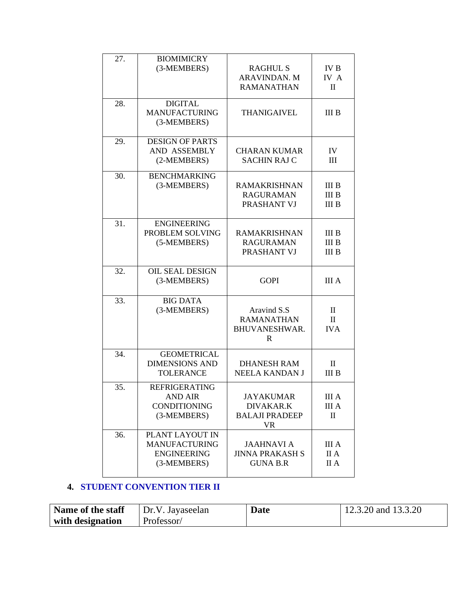| 27. | <b>BIOMIMICRY</b><br>(3-MEMBERS)                                             | <b>RAGHUL S</b><br><b>ARAVINDAN. M</b><br><b>RAMANATHAN</b>         | <b>IVB</b><br>IV A<br>$\mathbf H$                               |
|-----|------------------------------------------------------------------------------|---------------------------------------------------------------------|-----------------------------------------------------------------|
| 28. | <b>DIGITAL</b><br><b>MANUFACTURING</b><br>(3-MEMBERS)                        | <b>THANIGAIVEL</b>                                                  | <b>III</b> B                                                    |
| 29. | <b>DESIGN OF PARTS</b><br>AND ASSEMBLY<br>(2-MEMBERS)                        | <b>CHARAN KUMAR</b><br><b>SACHIN RAJ C</b>                          | IV<br>Ш                                                         |
| 30. | <b>BENCHMARKING</b><br>(3-MEMBERS)                                           | <b>RAMAKRISHNAN</b><br><b>RAGURAMAN</b><br>PRASHANT VJ              | <b>III</b> B<br><b>III</b> B<br><b>III</b> B                    |
| 31. | <b>ENGINEERING</b><br>PROBLEM SOLVING<br>(5-MEMBERS)                         | <b>RAMAKRISHNAN</b><br><b>RAGURAMAN</b><br>PRASHANT VJ              | <b>III</b> B<br><b>III</b> B<br><b>III</b> B                    |
| 32. | <b>OIL SEAL DESIGN</b><br>(3-MEMBERS)                                        | <b>GOPI</b>                                                         | <b>III</b> A                                                    |
| 33. | <b>BIG DATA</b><br>(3-MEMBERS)                                               | Aravind S.S<br><b>RAMANATHAN</b><br>BHUVANESHWAR.<br>$\mathbf R$    | $\mathbf{I}$<br>$\mathbf{I}$<br><b>IVA</b>                      |
| 34. | <b>GEOMETRICAL</b><br><b>DIMENSIONS AND</b><br><b>TOLERANCE</b>              | <b>DHANESH RAM</b><br><b>NEELA KANDAN J</b>                         | $\mathbf{I}$<br><b>III B</b>                                    |
| 35. | <b>REFRIGERATING</b><br><b>AND AIR</b><br><b>CONDITIONING</b><br>(3-MEMBERS) | <b>JAYAKUMAR</b><br>DIVAKAR.K<br><b>BALAJI PRADEEP</b><br><b>VR</b> | <b>III</b> A<br><b>III</b> A<br>$\mathop{\mathrm{II}}\nolimits$ |
| 36. | PLANT LAYOUT IN<br><b>MANUFACTURING</b><br><b>ENGINEERING</b><br>(3-MEMBERS) | <b>JAAHNAVI A</b><br><b>JINNA PRAKASH S</b><br><b>GUNA B.R</b>      | <b>III</b> A<br>II A<br>II A                                    |

#### **4. STUDENT CONVENTION TIER II**

| Name of the staff | Dr.V. Jayaseelan | <b>Date</b> | 12.3.20 and $13.3.20$ |
|-------------------|------------------|-------------|-----------------------|
| with designation  | Professor/       |             |                       |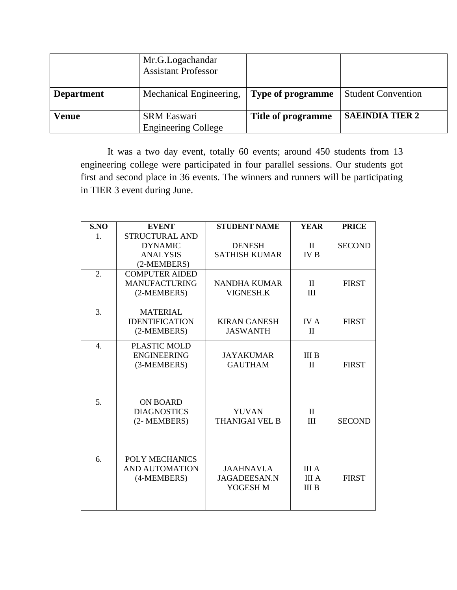|                   | Mr.G.Logachandar<br><b>Assistant Professor</b>   |                          |                           |
|-------------------|--------------------------------------------------|--------------------------|---------------------------|
| <b>Department</b> | Mechanical Engineering,                          | <b>Type of programme</b> | <b>Student Convention</b> |
| <b>Venue</b>      | <b>SRM Easwari</b><br><b>Engineering College</b> | Title of programme       | <b>SAEINDIA TIER 2</b>    |

It was a two day event, totally 60 events; around 450 students from 13 engineering college were participated in four parallel sessions. Our students got first and second place in 36 events. The winners and runners will be participating in TIER 3 event during June.

| S.NO             | <b>EVENT</b>                                                              | <b>STUDENT NAME</b>                                  | <b>YEAR</b>                           | <b>PRICE</b>  |
|------------------|---------------------------------------------------------------------------|------------------------------------------------------|---------------------------------------|---------------|
| 1.               | <b>STRUCTURAL AND</b><br><b>DYNAMIC</b><br><b>ANALYSIS</b><br>(2-MEMBERS) | <b>DENESH</b><br><b>SATHISH KUMAR</b>                | $\mathbf{I}$<br><b>IV B</b>           | <b>SECOND</b> |
| 2.               | <b>COMPUTER AIDED</b><br><b>MANUFACTURING</b><br>(2-MEMBERS)              | <b>NANDHA KUMAR</b><br>VIGNESH.K                     | $\mathbf{I}$<br>III                   | <b>FIRST</b>  |
| 3.               | <b>MATERIAL</b><br><b>IDENTIFICATION</b><br>(2-MEMBERS)                   | <b>KIRAN GANESH</b><br><b>JASWANTH</b>               | <b>IVA</b><br>$\rm II$                | <b>FIRST</b>  |
| $\overline{4}$ . | <b>PLASTIC MOLD</b><br><b>ENGINEERING</b><br>(3-MEMBERS)                  | <b>JAYAKUMAR</b><br><b>GAUTHAM</b>                   | <b>III</b> B<br>$\mathbf{I}$          | <b>FIRST</b>  |
| 5.               | <b>ON BOARD</b><br><b>DIAGNOSTICS</b><br>(2- MEMBERS)                     | <b>YUVAN</b><br><b>THANIGAI VEL B</b>                | $\mathbf{I}$<br>III                   | <b>SECOND</b> |
| 6.               | POLY MECHANICS<br><b>AND AUTOMATION</b><br>(4-MEMBERS)                    | <b>JAAHNAVI.A</b><br><b>JAGADEESAN.N</b><br>YOGESH M | III A<br><b>III</b> A<br><b>III</b> B | <b>FIRST</b>  |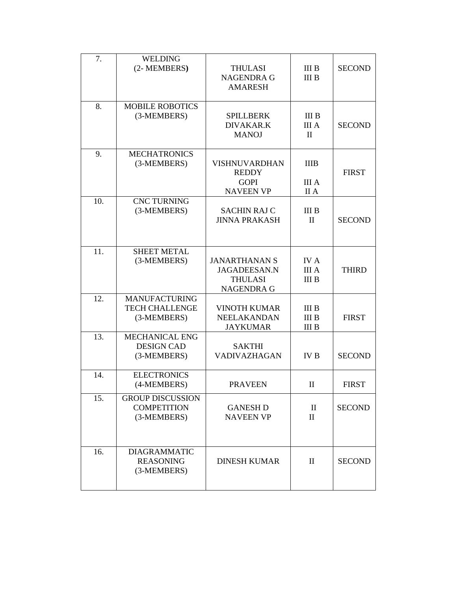| 7.  | <b>WELDING</b><br>(2- MEMBERS)                               | <b>THULASI</b><br><b>NAGENDRA G</b><br><b>AMARESH</b>                              | <b>III</b> B<br>III <sub>B</sub>             | <b>SECOND</b> |
|-----|--------------------------------------------------------------|------------------------------------------------------------------------------------|----------------------------------------------|---------------|
| 8.  | <b>MOBILE ROBOTICS</b><br>(3-MEMBERS)                        | <b>SPILLBERK</b><br><b>DIVAKAR.K</b><br><b>MANOJ</b>                               | III B<br><b>III</b> A<br>$\mathbf{I}$        | <b>SECOND</b> |
| 9.  | <b>MECHATRONICS</b><br>(3-MEMBERS)                           | <b>VISHNUVARDHAN</b><br><b>REDDY</b><br><b>GOPI</b><br><b>NAVEEN VP</b>            | <b>IIIB</b><br><b>III</b> A<br>II A          | <b>FIRST</b>  |
| 10. | <b>CNC TURNING</b><br>(3-MEMBERS)                            | <b>SACHIN RAJ C</b><br><b>JINNA PRAKASH</b>                                        | <b>III</b> B<br>$\mathbf{I}$                 | <b>SECOND</b> |
| 11. | <b>SHEET METAL</b><br>(3-MEMBERS)                            | <b>JANARTHANAN S</b><br><b>JAGADEESAN.N</b><br><b>THULASI</b><br><b>NAGENDRA G</b> | <b>IVA</b><br><b>III</b> A<br><b>III</b> B   | <b>THIRD</b>  |
| 12. | <b>MANUFACTURING</b><br><b>TECH CHALLENGE</b><br>(3-MEMBERS) | <b>VINOTH KUMAR</b><br><b>NEELAKANDAN</b><br><b>JAYKUMAR</b>                       | <b>III</b> B<br><b>III B</b><br><b>III</b> B | <b>FIRST</b>  |
| 13. | MECHANICAL ENG<br><b>DESIGN CAD</b><br>(3-MEMBERS)           | <b>SAKTHI</b><br>VADIVAZHAGAN                                                      | <b>IVB</b>                                   | <b>SECOND</b> |
| 14. | <b>ELECTRONICS</b><br>(4-MEMBERS)                            | <b>PRAVEEN</b>                                                                     | $\rm _{II}$                                  | <b>FIRST</b>  |
| 15. | <b>GROUP DISCUSSION</b><br><b>COMPETITION</b><br>(3-MEMBERS) | <b>GANESH D</b><br><b>NAVEEN VP</b>                                                | $\mathbf{I}$<br>$\mathbf{I}$                 | <b>SECOND</b> |
| 16. | <b>DIAGRAMMATIC</b><br><b>REASONING</b><br>(3-MEMBERS)       | <b>DINESH KUMAR</b>                                                                | $\mathbf{I}$                                 | <b>SECOND</b> |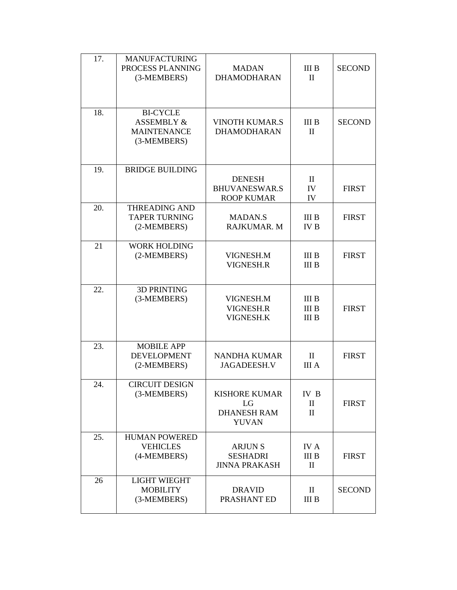| 17. | <b>MANUFACTURING</b><br>PROCESS PLANNING<br>(3-MEMBERS)                       | <b>MADAN</b><br><b>DHAMODHARAN</b>                               | <b>III</b> B<br>$\mathbf{I}$                 | <b>SECOND</b> |
|-----|-------------------------------------------------------------------------------|------------------------------------------------------------------|----------------------------------------------|---------------|
| 18. | <b>BI-CYCLE</b><br><b>ASSEMBLY &amp;</b><br><b>MAINTENANCE</b><br>(3-MEMBERS) | <b>VINOTH KUMAR.S</b><br><b>DHAMODHARAN</b>                      | <b>III</b> B<br>$\mathbf{I}$                 | <b>SECOND</b> |
| 19. | <b>BRIDGE BUILDING</b>                                                        | <b>DENESH</b><br><b>BHUVANESWAR.S</b><br><b>ROOP KUMAR</b>       | $\mathbf{I}$<br>IV<br>IV                     | <b>FIRST</b>  |
| 20. | <b>THREADING AND</b><br><b>TAPER TURNING</b><br>(2-MEMBERS)                   | <b>MADAN.S</b><br>RAJKUMAR. M                                    | <b>III</b> B<br><b>IVB</b>                   | <b>FIRST</b>  |
| 21  | <b>WORK HOLDING</b><br>(2-MEMBERS)                                            | VIGNESH.M<br>VIGNESH.R                                           | <b>III</b> B<br><b>III B</b>                 | <b>FIRST</b>  |
| 22. | <b>3D PRINTING</b><br>(3-MEMBERS)                                             | VIGNESH.M<br>VIGNESH.R<br>VIGNESH.K                              | <b>III</b> B<br><b>III</b> B<br><b>III B</b> | <b>FIRST</b>  |
| 23. | <b>MOBILE APP</b><br><b>DEVELOPMENT</b><br>(2-MEMBERS)                        | <b>NANDHA KUMAR</b><br><b>JAGADEESH.V</b>                        | $\mathbf{I}$<br><b>III</b> A                 | <b>FIRST</b>  |
| 24. | <b>CIRCUIT DESIGN</b><br>(3-MEMBERS)                                          | <b>KISHORE KUMAR</b><br>LG<br><b>DHANESH RAM</b><br><b>YUVAN</b> | IV B<br>$\mathbf{I}$<br>$\mathbf{I}$         | <b>FIRST</b>  |
| 25. | <b>HUMAN POWERED</b><br><b>VEHICLES</b><br>(4-MEMBERS)                        | <b>ARJUNS</b><br><b>SESHADRI</b><br><b>JINNA PRAKASH</b>         | <b>IVA</b><br><b>III</b> B<br>$\mathbf{I}$   | <b>FIRST</b>  |
| 26  | <b>LIGHT WIEGHT</b><br><b>MOBILITY</b><br>(3-MEMBERS)                         | <b>DRAVID</b><br>PRASHANT ED                                     | $\rm{II}$<br><b>III B</b>                    | <b>SECOND</b> |